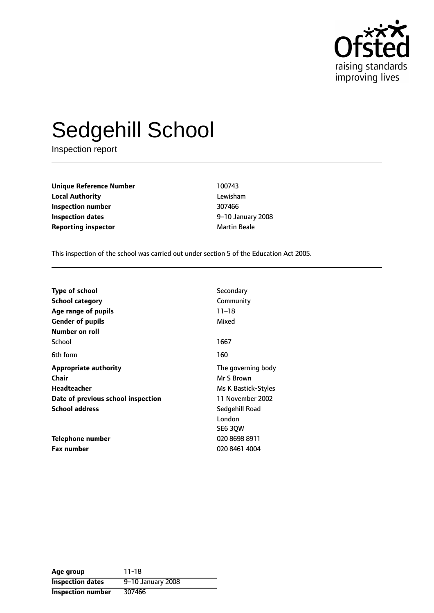

# Sedgehill School

Inspection report

**Unique Reference Number** 100743 **Local Authority** Lewisham **Inspection number** 307466 **Inspection dates 1948 1208 1208 1208 1208 1208 1208 Reporting inspector and a structure of the Martin Beale** 

This inspection of the school was carried out under section 5 of the Education Act 2005.

| <b>Type of school</b>              | Secondary           |
|------------------------------------|---------------------|
| School category                    | Community           |
| Age range of pupils                | $11 - 18$           |
| <b>Gender of pupils</b>            | Mixed               |
| Number on roll                     |                     |
| School                             | 1667                |
| 6th form                           | 160                 |
| <b>Appropriate authority</b>       | The governing body  |
| Chair                              | Mr S Brown          |
| <b>Headteacher</b>                 | Ms K Bastick-Styles |
| Date of previous school inspection | 11 November 2002    |
| <b>School address</b>              | Sedgehill Road      |
|                                    | London              |
|                                    | SE6 30W             |
| Telephone number                   | 020 8698 8911       |
| <b>Fax number</b>                  | 020 8461 4004       |

| Age group                | 11-18             |
|--------------------------|-------------------|
| <b>Inspection dates</b>  | 9-10 January 2008 |
| <b>Inspection number</b> | 307466            |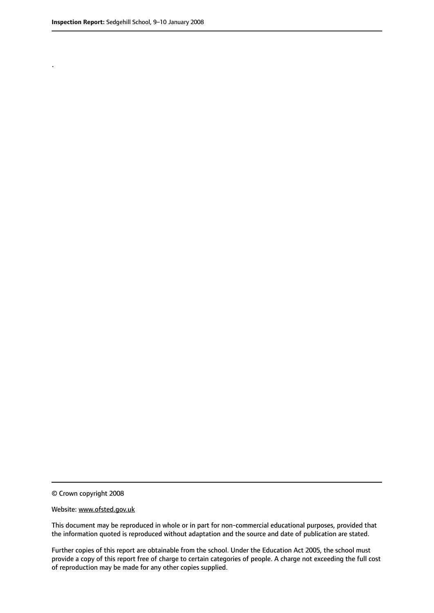.

© Crown copyright 2008

#### Website: www.ofsted.gov.uk

This document may be reproduced in whole or in part for non-commercial educational purposes, provided that the information quoted is reproduced without adaptation and the source and date of publication are stated.

Further copies of this report are obtainable from the school. Under the Education Act 2005, the school must provide a copy of this report free of charge to certain categories of people. A charge not exceeding the full cost of reproduction may be made for any other copies supplied.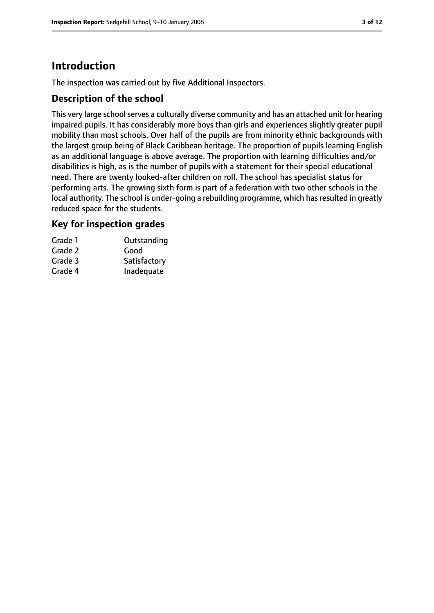# **Introduction**

The inspection was carried out by five Additional Inspectors.

## **Description of the school**

This very large school serves a culturally diverse community and has an attached unit for hearing impaired pupils. It has considerably more boys than girls and experiences slightly greater pupil mobility than most schools. Over half of the pupils are from minority ethnic backgrounds with the largest group being of Black Caribbean heritage. The proportion of pupils learning English as an additional language is above average. The proportion with learning difficulties and/or disabilities is high, as is the number of pupils with a statement for their special educational need. There are twenty looked-after children on roll. The school has specialist status for performing arts. The growing sixth form is part of a federation with two other schools in the local authority. The school is under-going a rebuilding programme, which has resulted in greatly reduced space for the students.

## **Key for inspection grades**

| Grade 1 | Outstanding  |
|---------|--------------|
| Grade 2 | Good         |
| Grade 3 | Satisfactory |
| Grade 4 | Inadequate   |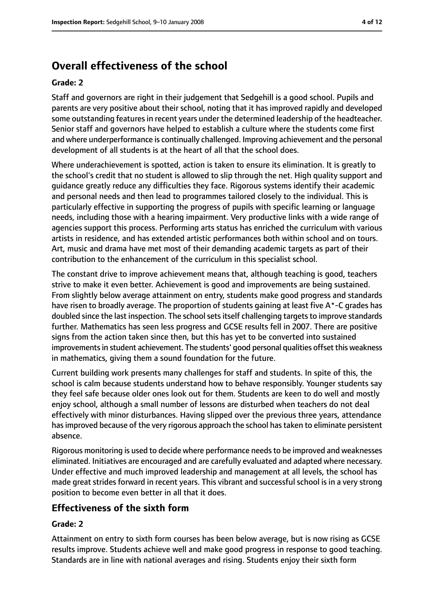# **Overall effectiveness of the school**

#### **Grade: 2**

Staff and governors are right in their judgement that Sedgehill is a good school. Pupils and parents are very positive about their school, noting that it has improved rapidly and developed some outstanding features in recent years under the determined leadership of the headteacher. Senior staff and governors have helped to establish a culture where the students come first and where underperformance is continually challenged. Improving achievement and the personal development of all students is at the heart of all that the school does.

Where underachievement is spotted, action is taken to ensure its elimination. It is greatly to the school's credit that no student is allowed to slip through the net. High quality support and guidance greatly reduce any difficulties they face. Rigorous systems identify their academic and personal needs and then lead to programmes tailored closely to the individual. This is particularly effective in supporting the progress of pupils with specific learning or language needs, including those with a hearing impairment. Very productive links with a wide range of agencies support this process. Performing arts status has enriched the curriculum with various artists in residence, and has extended artistic performances both within school and on tours. Art, music and drama have met most of their demanding academic targets as part of their contribution to the enhancement of the curriculum in this specialist school.

The constant drive to improve achievement means that, although teaching is good, teachers strive to make it even better. Achievement is good and improvements are being sustained. From slightly below average attainment on entry, students make good progress and standards have risen to broadly average. The proportion of students gaining at least five A\*-C grades has doubled since the last inspection. The school sets itself challenging targets to improve standards further. Mathematics has seen less progress and GCSE results fell in 2007. There are positive signs from the action taken since then, but this has yet to be converted into sustained improvements in student achievement. The students' good personal qualities offset this weakness in mathematics, giving them a sound foundation for the future.

Current building work presents many challenges for staff and students. In spite of this, the school is calm because students understand how to behave responsibly. Younger students say they feel safe because older ones look out for them. Students are keen to do well and mostly enjoy school, although a small number of lessons are disturbed when teachers do not deal effectively with minor disturbances. Having slipped over the previous three years, attendance hasimproved because of the very rigorous approach the school hastaken to eliminate persistent absence.

Rigorous monitoring is used to decide where performance needsto be improved and weaknesses eliminated. Initiatives are encouraged and are carefully evaluated and adapted where necessary. Under effective and much improved leadership and management at all levels, the school has made great strides forward in recent years. This vibrant and successful school is in a very strong position to become even better in all that it does.

## **Effectiveness of the sixth form**

## **Grade: 2**

Attainment on entry to sixth form courses has been below average, but is now rising as GCSE results improve. Students achieve well and make good progress in response to good teaching. Standards are in line with national averages and rising. Students enjoy their sixth form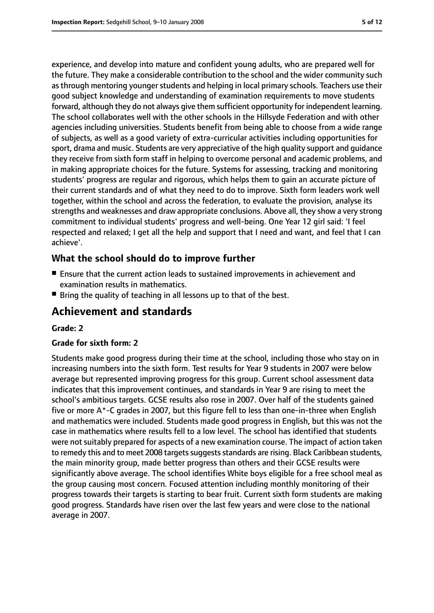experience, and develop into mature and confident young adults, who are prepared well for the future. They make a considerable contribution to the school and the wider community such as through mentoring younger students and helping in local primary schools. Teachers use their good subject knowledge and understanding of examination requirements to move students forward, although they do not always give them sufficient opportunity for independent learning. The school collaborates well with the other schools in the Hillsyde Federation and with other agencies including universities. Students benefit from being able to choose from a wide range of subjects, as well as a good variety of extra-curricular activities including opportunities for sport, drama and music. Students are very appreciative of the high quality support and guidance they receive from sixth form staff in helping to overcome personal and academic problems, and in making appropriate choices for the future. Systems for assessing, tracking and monitoring students' progress are regular and rigorous, which helps them to gain an accurate picture of their current standards and of what they need to do to improve. Sixth form leaders work well together, within the school and across the federation, to evaluate the provision, analyse its strengths and weaknesses and draw appropriate conclusions. Above all, they show a very strong commitment to individual students' progress and well-being. One Year 12 girl said: 'I feel respected and relaxed; I get all the help and support that I need and want, and feel that I can achieve'.

## **What the school should do to improve further**

- Ensure that the current action leads to sustained improvements in achievement and examination results in mathematics.
- Bring the quality of teaching in all lessons up to that of the best.

# **Achievement and standards**

#### **Grade: 2**

#### **Grade for sixth form: 2**

Students make good progress during their time at the school, including those who stay on in increasing numbers into the sixth form. Test results for Year 9 students in 2007 were below average but represented improving progress for this group. Current school assessment data indicates that this improvement continues, and standards in Year 9 are rising to meet the school's ambitious targets. GCSE results also rose in 2007. Over half of the students gained five or more A\*-C grades in 2007, but this figure fell to less than one-in-three when English and mathematics were included. Students made good progress in English, but this was not the case in mathematics where results fell to a low level. The school has identified that students were not suitably prepared for aspects of a new examination course. The impact of action taken to remedy this and to meet 2008 targets suggests standards are rising. Black Caribbean students, the main minority group, made better progress than others and their GCSE results were significantly above average. The school identifies White boys eligible for a free school meal as the group causing most concern. Focused attention including monthly monitoring of their progress towards their targets is starting to bear fruit. Current sixth form students are making good progress. Standards have risen over the last few years and were close to the national average in 2007.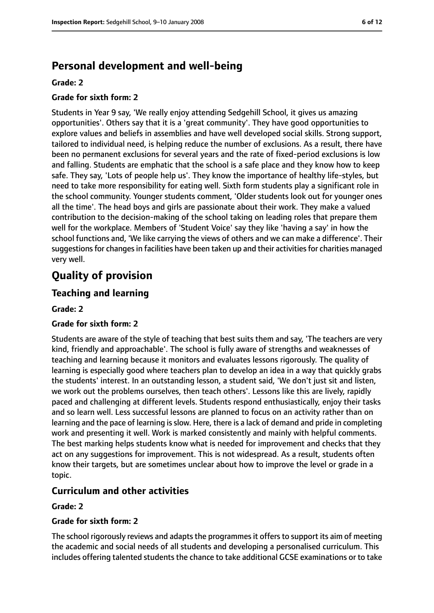# **Personal development and well-being**

#### **Grade: 2**

#### **Grade for sixth form: 2**

Students in Year 9 say, 'We really enjoy attending Sedgehill School, it gives us amazing opportunities'. Others say that it is a 'great community'. They have good opportunities to explore values and beliefs in assemblies and have well developed social skills. Strong support, tailored to individual need, is helping reduce the number of exclusions. As a result, there have been no permanent exclusions for several years and the rate of fixed-period exclusions is low and falling. Students are emphatic that the school is a safe place and they know how to keep safe. They say, 'Lots of people help us'. They know the importance of healthy life-styles, but need to take more responsibility for eating well. Sixth form students play a significant role in the school community. Younger students comment, 'Older students look out for younger ones all the time'. The head boys and girls are passionate about their work. They make a valued contribution to the decision-making of the school taking on leading roles that prepare them well for the workplace. Members of 'Student Voice' say they like 'having a say' in how the school functions and, 'We like carrying the views of others and we can make a difference'. Their suggestions for changes in facilities have been taken up and their activities for charities managed very well.

# **Quality of provision**

## **Teaching and learning**

#### **Grade: 2**

## **Grade for sixth form: 2**

Students are aware of the style of teaching that best suits them and say, 'The teachers are very kind, friendly and approachable'. The school is fully aware of strengths and weaknesses of teaching and learning because it monitors and evaluates lessons rigorously. The quality of learning is especially good where teachers plan to develop an idea in a way that quickly grabs the students' interest. In an outstanding lesson, a student said, 'We don't just sit and listen, we work out the problems ourselves, then teach others'. Lessons like this are lively, rapidly paced and challenging at different levels. Students respond enthusiastically, enjoy their tasks and so learn well. Less successful lessons are planned to focus on an activity rather than on learning and the pace of learning is slow. Here, there is a lack of demand and pride in completing work and presenting it well. Work is marked consistently and mainly with helpful comments. The best marking helps students know what is needed for improvement and checks that they act on any suggestions for improvement. This is not widespread. As a result, students often know their targets, but are sometimes unclear about how to improve the level or grade in a topic.

## **Curriculum and other activities**

#### **Grade: 2**

#### **Grade for sixth form: 2**

The school rigorously reviews and adapts the programmes it offers to support its aim of meeting the academic and social needs of all students and developing a personalised curriculum. This includes offering talented students the chance to take additional GCSE examinations or to take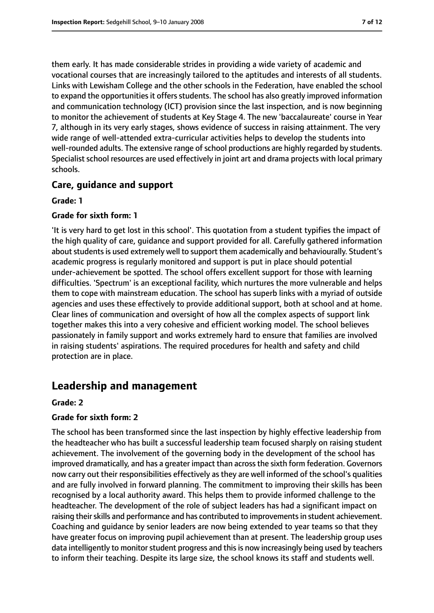them early. It has made considerable strides in providing a wide variety of academic and vocational courses that are increasingly tailored to the aptitudes and interests of all students. Links with Lewisham College and the other schools in the Federation, have enabled the school to expand the opportunities it offers students. The school has also greatly improved information and communication technology (ICT) provision since the last inspection, and is now beginning to monitor the achievement of students at Key Stage 4. The new 'baccalaureate' course in Year 7, although in its very early stages, shows evidence of success in raising attainment. The very wide range of well-attended extra-curricular activities helps to develop the students into well-rounded adults. The extensive range of school productions are highly regarded by students. Specialist school resources are used effectively in joint art and drama projects with local primary schools.

## **Care, guidance and support**

#### **Grade: 1**

#### **Grade for sixth form: 1**

'It is very hard to get lost in this school'. This quotation from a student typifies the impact of the high quality of care, guidance and support provided for all. Carefully gathered information about students is used extremely well to support them academically and behaviourally. Student's academic progress is regularly monitored and support is put in place should potential under-achievement be spotted. The school offers excellent support for those with learning difficulties. 'Spectrum' is an exceptional facility, which nurtures the more vulnerable and helps them to cope with mainstream education. The school has superb links with a myriad of outside agencies and uses these effectively to provide additional support, both at school and at home. Clear lines of communication and oversight of how all the complex aspects of support link together makes this into a very cohesive and efficient working model. The school believes passionately in family support and works extremely hard to ensure that families are involved in raising students' aspirations. The required procedures for health and safety and child protection are in place.

# **Leadership and management**

#### **Grade: 2**

#### **Grade for sixth form: 2**

The school has been transformed since the last inspection by highly effective leadership from the headteacher who has built a successful leadership team focused sharply on raising student achievement. The involvement of the governing body in the development of the school has improved dramatically, and has a greater impact than across the sixth form federation. Governors now carry out their responsibilities effectively as they are well informed of the school's qualities and are fully involved in forward planning. The commitment to improving their skills has been recognised by a local authority award. This helps them to provide informed challenge to the headteacher. The development of the role of subject leaders has had a significant impact on raising their skills and performance and has contributed to improvements in student achievement. Coaching and guidance by senior leaders are now being extended to year teams so that they have greater focus on improving pupil achievement than at present. The leadership group uses data intelligently to monitor student progress and this is now increasingly being used by teachers to inform their teaching. Despite its large size, the school knows its staff and students well.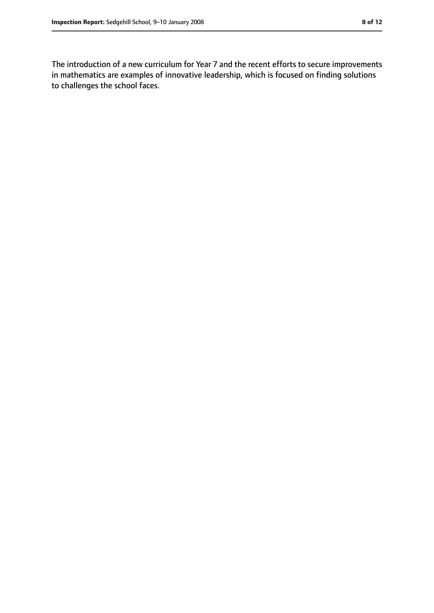The introduction of a new curriculum for Year 7 and the recent efforts to secure improvements in mathematics are examples of innovative leadership, which is focused on finding solutions to challenges the school faces.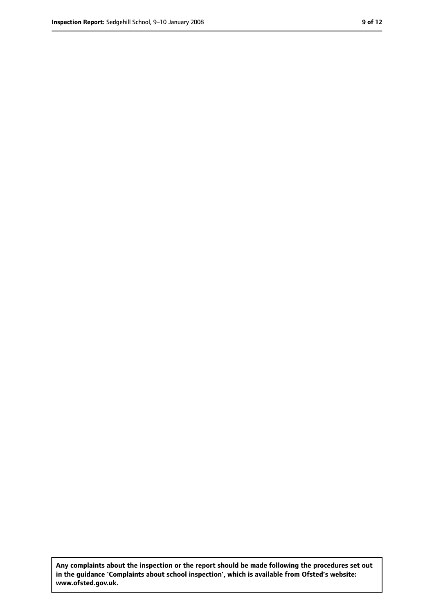**Any complaints about the inspection or the report should be made following the procedures set out in the guidance 'Complaints about school inspection', which is available from Ofsted's website: www.ofsted.gov.uk.**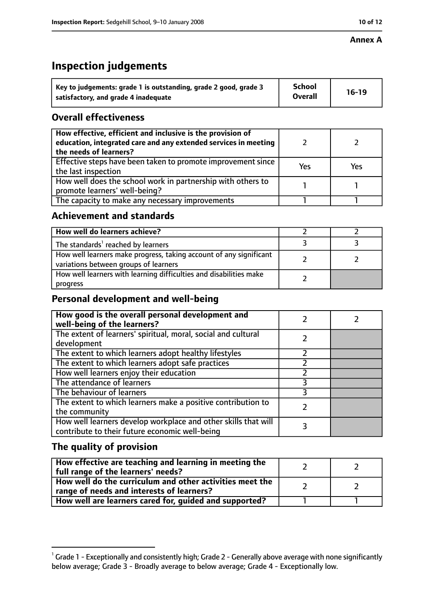# **Inspection judgements**

| Key to judgements: grade 1 is outstanding, grade 2 good, grade 3 | School         | $16-19$ |
|------------------------------------------------------------------|----------------|---------|
| satisfactory, and grade 4 inadequate                             | <b>Overall</b> |         |

# **Overall effectiveness**

| How effective, efficient and inclusive is the provision of<br>education, integrated care and any extended services in meeting<br>the needs of learners? |     |     |
|---------------------------------------------------------------------------------------------------------------------------------------------------------|-----|-----|
| Effective steps have been taken to promote improvement since<br>the last inspection                                                                     | Yes | Yes |
| How well does the school work in partnership with others to<br>promote learners' well-being?                                                            |     |     |
| The capacity to make any necessary improvements                                                                                                         |     |     |

## **Achievement and standards**

| How well do learners achieve?                                                                               |  |
|-------------------------------------------------------------------------------------------------------------|--|
| The standards <sup>1</sup> reached by learners                                                              |  |
| How well learners make progress, taking account of any significant<br>variations between groups of learners |  |
| How well learners with learning difficulties and disabilities make<br>progress                              |  |

# **Personal development and well-being**

| How good is the overall personal development and<br>well-being of the learners?                                  |  |
|------------------------------------------------------------------------------------------------------------------|--|
| The extent of learners' spiritual, moral, social and cultural                                                    |  |
| development                                                                                                      |  |
| The extent to which learners adopt healthy lifestyles                                                            |  |
| The extent to which learners adopt safe practices                                                                |  |
| How well learners enjoy their education                                                                          |  |
| The attendance of learners                                                                                       |  |
| The behaviour of learners                                                                                        |  |
| The extent to which learners make a positive contribution to<br>the community                                    |  |
| How well learners develop workplace and other skills that will<br>contribute to their future economic well-being |  |

# **The quality of provision**

| How effective are teaching and learning in meeting the<br>full range of the learners' needs?          |  |
|-------------------------------------------------------------------------------------------------------|--|
| How well do the curriculum and other activities meet the<br>range of needs and interests of learners? |  |
| How well are learners cared for, guided and supported?                                                |  |

 $^1$  Grade 1 - Exceptionally and consistently high; Grade 2 - Generally above average with none significantly below average; Grade 3 - Broadly average to below average; Grade 4 - Exceptionally low.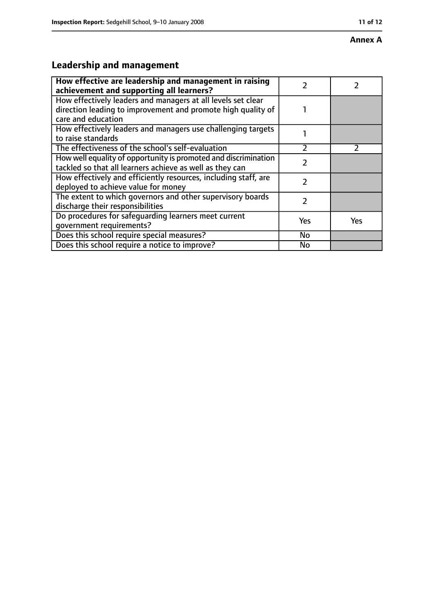#### **Annex A**

# **Leadership and management**

| How effective are leadership and management in raising<br>achievement and supporting all learners?                                                 |               |               |
|----------------------------------------------------------------------------------------------------------------------------------------------------|---------------|---------------|
| How effectively leaders and managers at all levels set clear<br>direction leading to improvement and promote high quality of<br>care and education |               |               |
| How effectively leaders and managers use challenging targets<br>to raise standards                                                                 |               |               |
| The effectiveness of the school's self-evaluation                                                                                                  | $\mathcal{P}$ | $\mathcal{P}$ |
| How well equality of opportunity is promoted and discrimination<br>tackled so that all learners achieve as well as they can                        |               |               |
| How effectively and efficiently resources, including staff, are<br>deployed to achieve value for money                                             | 2             |               |
| The extent to which governors and other supervisory boards<br>discharge their responsibilities                                                     | 2             |               |
| Do procedures for safeguarding learners meet current<br>qovernment requirements?                                                                   | Yes           | <b>Yes</b>    |
| Does this school require special measures?                                                                                                         | No            |               |
| Does this school require a notice to improve?                                                                                                      | No            |               |